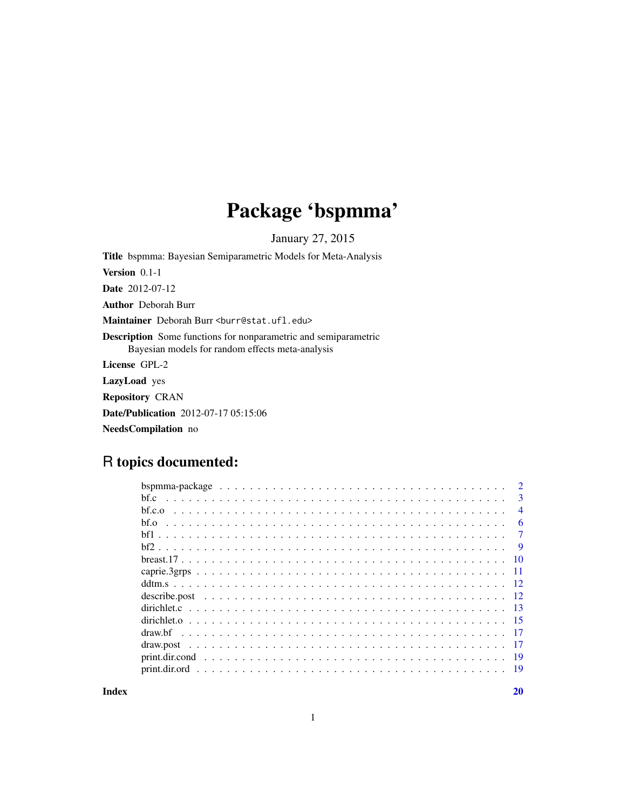## Package 'bspmma'

January 27, 2015

Title bspmma: Bayesian Semiparametric Models for Meta-Analysis Version 0.1-1 Date 2012-07-12 Author Deborah Burr Maintainer Deborah Burr <br/>burr@stat.ufl.edu> Description Some functions for nonparametric and semiparametric Bayesian models for random effects meta-analysis License GPL-2 LazyLoad yes Repository CRAN Date/Publication 2012-07-17 05:15:06 NeedsCompilation no

### R topics documented:

|        | $\overline{2}$  |
|--------|-----------------|
| bf.c   | 3               |
| bf.c.o | $\overline{4}$  |
| bf.o   | 6               |
|        | 7               |
|        | - 9             |
|        | $\overline{10}$ |
|        |                 |
|        |                 |
|        |                 |
|        |                 |
|        |                 |
|        |                 |
|        | $-17$           |
|        |                 |
|        |                 |
|        |                 |

 $\bf 1$ ndex  $\bf 20$  $\bf 20$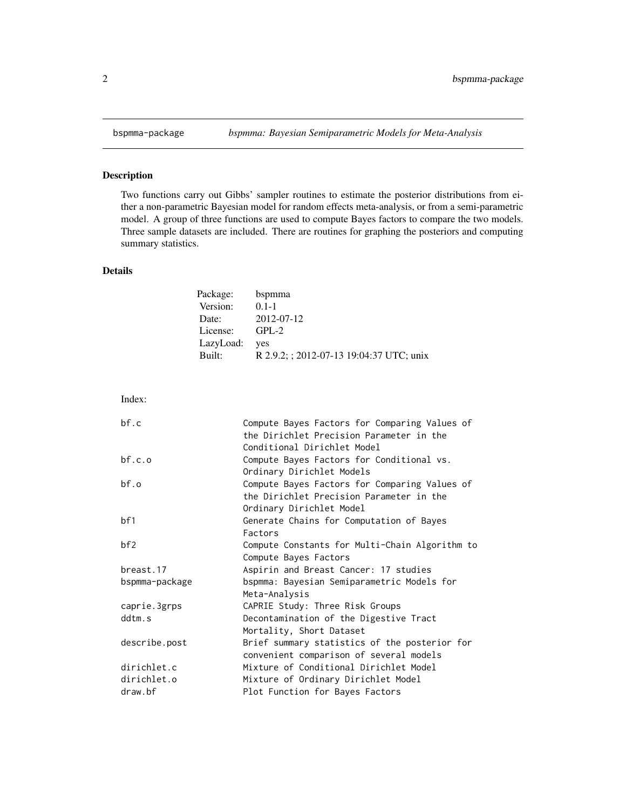<span id="page-1-0"></span>

#### Description

Two functions carry out Gibbs' sampler routines to estimate the posterior distributions from either a non-parametric Bayesian model for random effects meta-analysis, or from a semi-parametric model. A group of three functions are used to compute Bayes factors to compare the two models. Three sample datasets are included. There are routines for graphing the posteriors and computing summary statistics.

#### Details

| Package:  | bspmma                                   |
|-----------|------------------------------------------|
| Version:  | $0.1 - 1$                                |
| Date:     | 2012-07-12                               |
| License:  | $GPI - 2$                                |
| LazyLoad: | ves                                      |
| Built:    | R 2.9.2; ; 2012-07-13 19:04:37 UTC; unix |

| Compute Bayes Factors for Comparing Values of  |
|------------------------------------------------|
| the Dirichlet Precision Parameter in the       |
| Conditional Dirichlet Model                    |
| Compute Bayes Factors for Conditional vs.      |
| Ordinary Dirichlet Models                      |
| Compute Bayes Factors for Comparing Values of  |
| the Dirichlet Precision Parameter in the       |
| Ordinary Dirichlet Model                       |
| Generate Chains for Computation of Bayes       |
| Factors                                        |
| Compute Constants for Multi-Chain Algorithm to |
| Compute Bayes Factors                          |
| Aspirin and Breast Cancer: 17 studies          |
| bspmma: Bayesian Semiparametric Models for     |
| Meta-Analysis                                  |
| CAPRIE Study: Three Risk Groups                |
| Decontamination of the Digestive Tract         |
| Mortality, Short Dataset                       |
| Brief summary statistics of the posterior for  |
| convenient comparison of several models        |
| Mixture of Conditional Dirichlet Model         |
| Mixture of Ordinary Dirichlet Model            |
| Plot Function for Bayes Factors                |
|                                                |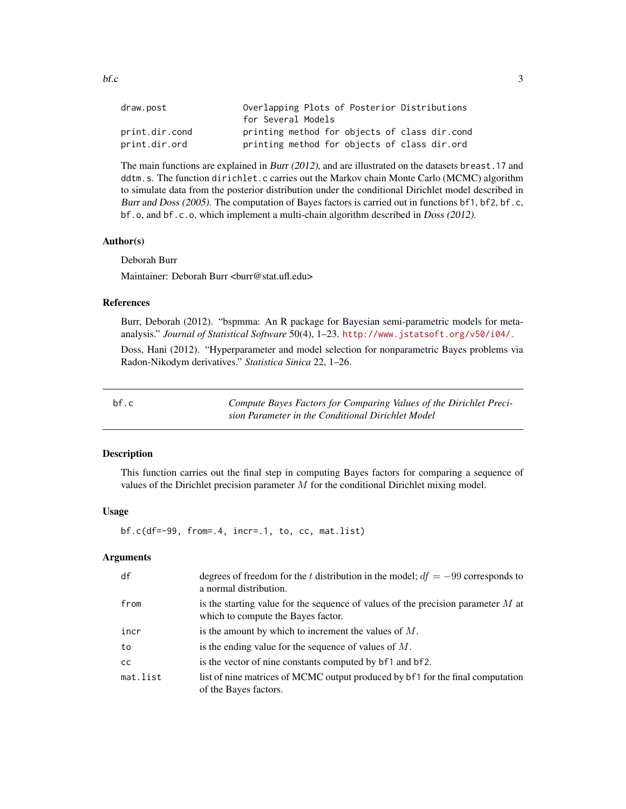<span id="page-2-0"></span>

| draw.post      | Overlapping Plots of Posterior Distributions  |
|----------------|-----------------------------------------------|
|                | for Several Models                            |
| print.dir.cond | printing method for objects of class dir.cond |
| print.dir.ord  | printing method for objects of class dir.ord  |

The main functions are explained in Burr (2012), and are illustrated on the datasets breast.17 and ddtm.s. The function dirichlet.c carries out the Markov chain Monte Carlo (MCMC) algorithm to simulate data from the posterior distribution under the conditional Dirichlet model described in Burr and Doss (2005). The computation of Bayes factors is carried out in functions bf1, bf2, bf.c, bf.o, and bf.c.o, which implement a multi-chain algorithm described in Doss (2012).

#### Author(s)

Deborah Burr

Maintainer: Deborah Burr <br/> <br/> <br/> <br/> <br/> <br/> <br/> <br/> <br/> <br/> <br/> <br/> <br/> <br/> <br/> <br/> <br/> <br/> <br/> <br/> <br/> <br/> <br/> <br/> <br/> <br/> <br/> <br/> <br/> <br/> <br/> <br/> <br/>

#### References

Burr, Deborah (2012). "bspmma: An R package for Bayesian semi-parametric models for metaanalysis." *Journal of Statistical Software* 50(4), 1–23. <http://www.jstatsoft.org/v50/i04/.>

Doss, Hani (2012). "Hyperparameter and model selection for nonparametric Bayes problems via Radon-Nikodym derivatives." *Statistica Sinica* 22, 1–26.

bf.c *Compute Bayes Factors for Comparing Values of the Dirichlet Precision Parameter in the Conditional Dirichlet Model*

#### Description

This function carries out the final step in computing Bayes factors for comparing a sequence of values of the Dirichlet precision parameter  $M$  for the conditional Dirichlet mixing model.

#### Usage

bf.c(df=-99, from=.4, incr=.1, to, cc, mat.list)

#### Arguments

| df            | degrees of freedom for the t distribution in the model; $df = -99$ corresponds to<br>a normal distribution.              |
|---------------|--------------------------------------------------------------------------------------------------------------------------|
| from          | is the starting value for the sequence of values of the precision parameter $M$ at<br>which to compute the Bayes factor. |
| incr          | is the amount by which to increment the values of $M$ .                                                                  |
| to            | is the ending value for the sequence of values of $M$ .                                                                  |
| <sub>CC</sub> | is the vector of nine constants computed by b <sup>f</sup> 1 and b <sup>f</sup> 2.                                       |
| mat.list      | list of nine matrices of MCMC output produced by bf1 for the final computation<br>of the Bayes factors.                  |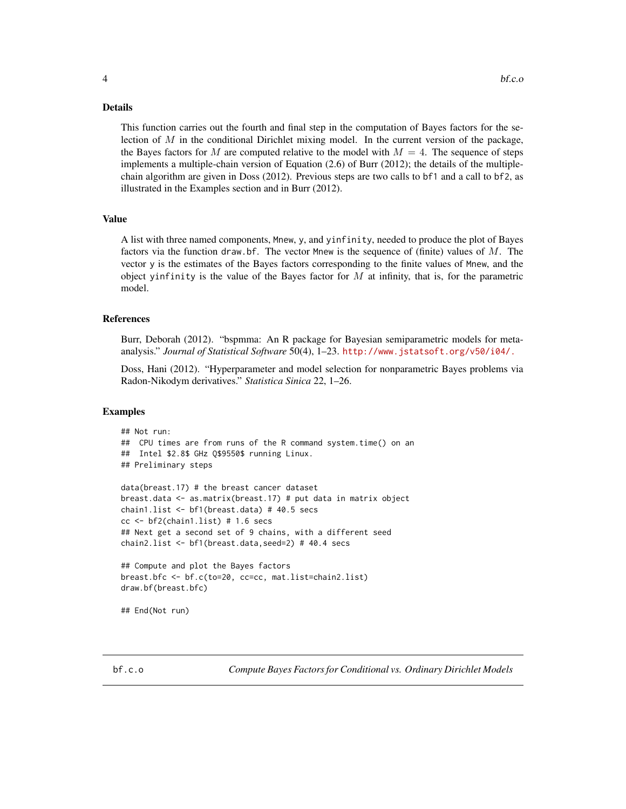#### <span id="page-3-0"></span>Details

This function carries out the fourth and final step in the computation of Bayes factors for the selection of  $M$  in the conditional Dirichlet mixing model. In the current version of the package, the Bayes factors for M are computed relative to the model with  $M = 4$ . The sequence of steps implements a multiple-chain version of Equation (2.6) of Burr (2012); the details of the multiplechain algorithm are given in Doss (2012). Previous steps are two calls to bf1 and a call to bf2, as illustrated in the Examples section and in Burr (2012).

#### Value

A list with three named components, Mnew, y, and yinfinity, needed to produce the plot of Bayes factors via the function draw.bf. The vector Mnew is the sequence of (finite) values of  $M$ . The vector y is the estimates of the Bayes factors corresponding to the finite values of Mnew, and the object yinfinity is the value of the Bayes factor for  $M$  at infinity, that is, for the parametric model.

#### References

Burr, Deborah (2012). "bspmma: An R package for Bayesian semiparametric models for metaanalysis." *Journal of Statistical Software* 50(4), 1–23. <http://www.jstatsoft.org/v50/i04/.>

Doss, Hani (2012). "Hyperparameter and model selection for nonparametric Bayes problems via Radon-Nikodym derivatives." *Statistica Sinica* 22, 1–26.

#### Examples

```
## Not run:
## CPU times are from runs of the R command system.time() on an
## Intel $2.8$ GHz Q$9550$ running Linux.
## Preliminary steps
data(breast.17) # the breast cancer dataset
breast.data <- as.matrix(breast.17) # put data in matrix object
chain1.list <- bf1(breast.data) # 40.5 secs
cc < - b f2(chain1.list) # 1.6 secs
## Next get a second set of 9 chains, with a different seed
chain2.list <- bf1(breast.data,seed=2) # 40.4 secs
## Compute and plot the Bayes factors
breast.bfc <- bf.c(to=20, cc=cc, mat.list=chain2.list)
draw.bf(breast.bfc)
## End(Not run)
```
bf.c.o *Compute Bayes Factors for Conditional vs. Ordinary Dirichlet Models*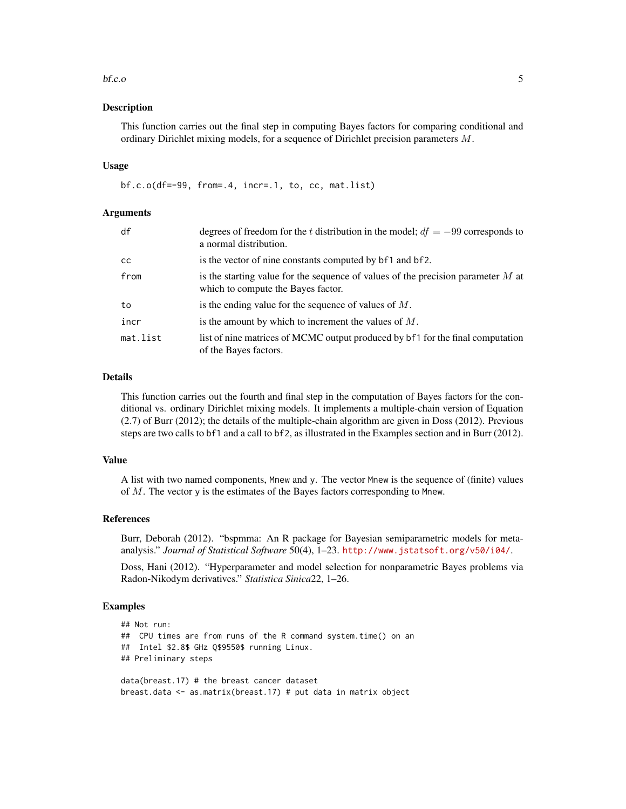#### $\mathbf{b}$ f.c.o 5

#### Description

This function carries out the final step in computing Bayes factors for comparing conditional and ordinary Dirichlet mixing models, for a sequence of Dirichlet precision parameters M.

#### Usage

bf.c.o(df=-99, from=.4, incr=.1, to, cc, mat.list)

#### Arguments

| df        | degrees of freedom for the t distribution in the model; $df = -99$ corresponds to<br>a normal distribution.              |
|-----------|--------------------------------------------------------------------------------------------------------------------------|
| <b>CC</b> | is the vector of nine constants computed by b <sup>f</sup> 1 and b <sup>f</sup> 2.                                       |
| from      | is the starting value for the sequence of values of the precision parameter $M$ at<br>which to compute the Bayes factor. |
| to        | is the ending value for the sequence of values of $M$ .                                                                  |
| incr      | is the amount by which to increment the values of $M$ .                                                                  |
| mat.list  | list of nine matrices of MCMC output produced by bf1 for the final computation<br>of the Bayes factors.                  |

#### Details

This function carries out the fourth and final step in the computation of Bayes factors for the conditional vs. ordinary Dirichlet mixing models. It implements a multiple-chain version of Equation (2.7) of Burr (2012); the details of the multiple-chain algorithm are given in Doss (2012). Previous steps are two calls to bf1 and a call to bf2, as illustrated in the Examples section and in Burr (2012).

#### Value

A list with two named components, Mnew and y. The vector Mnew is the sequence of (finite) values of M. The vector y is the estimates of the Bayes factors corresponding to Mnew.

#### References

Burr, Deborah (2012). "bspmma: An R package for Bayesian semiparametric models for metaanalysis." *Journal of Statistical Software* 50(4), 1–23. <http://www.jstatsoft.org/v50/i04/>.

Doss, Hani (2012). "Hyperparameter and model selection for nonparametric Bayes problems via Radon-Nikodym derivatives." *Statistica Sinica*22, 1–26.

#### Examples

```
## Not run:
## CPU times are from runs of the R command system.time() on an
## Intel $2.8$ GHz Q$9550$ running Linux.
## Preliminary steps
data(breast.17) # the breast cancer dataset
```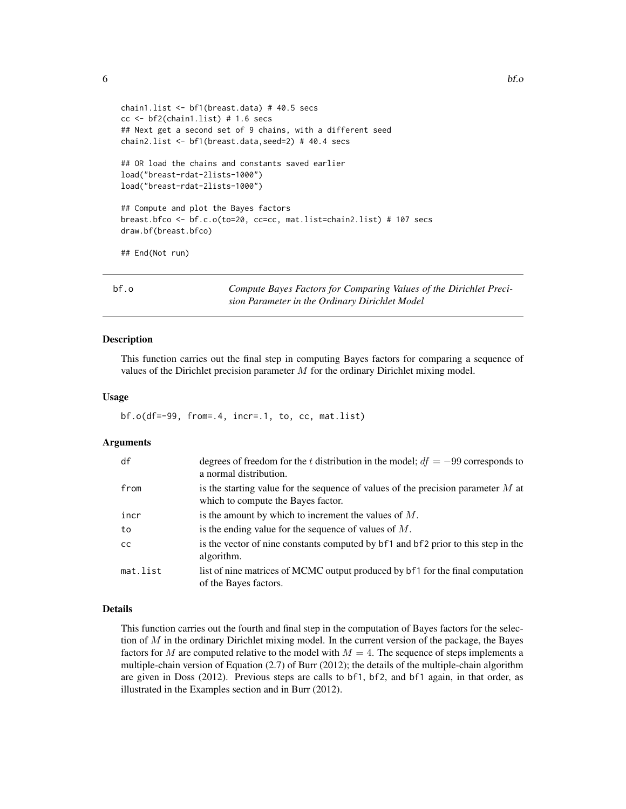```
chain1.list <- bf1(breast.data) # 40.5 secs
cc < - b f2(chain1.list) # 1.6 secs
## Next get a second set of 9 chains, with a different seed
chain2.list <- bf1(breast.data,seed=2) # 40.4 secs
## OR load the chains and constants saved earlier
load("breast-rdat-2lists-1000")
load("breast-rdat-2lists-1000")
## Compute and plot the Bayes factors
breast.bfco <- bf.c.o(to=20, cc=cc, mat.list=chain2.list) # 107 secs
draw.bf(breast.bfco)
## End(Not run)
```
bf.o *Compute Bayes Factors for Comparing Values of the Dirichlet Precision Parameter in the Ordinary Dirichlet Model*

#### Description

This function carries out the final step in computing Bayes factors for comparing a sequence of values of the Dirichlet precision parameter  $M$  for the ordinary Dirichlet mixing model.

#### Usage

bf.o(df=-99, from=.4, incr=.1, to, cc, mat.list)

#### Arguments

| df            | degrees of freedom for the t distribution in the model; $df = -99$ corresponds to<br>a normal distribution.              |
|---------------|--------------------------------------------------------------------------------------------------------------------------|
| from          | is the starting value for the sequence of values of the precision parameter $M$ at<br>which to compute the Bayes factor. |
| incr          | is the amount by which to increment the values of $M$ .                                                                  |
| to            | is the ending value for the sequence of values of $M$ .                                                                  |
| <sub>cc</sub> | is the vector of nine constants computed by bf1 and bf2 prior to this step in the<br>algorithm.                          |
| mat.list      | list of nine matrices of MCMC output produced by bf1 for the final computation<br>of the Bayes factors.                  |

#### Details

This function carries out the fourth and final step in the computation of Bayes factors for the selection of  $M$  in the ordinary Dirichlet mixing model. In the current version of the package, the Bayes factors for M are computed relative to the model with  $M = 4$ . The sequence of steps implements a multiple-chain version of Equation (2.7) of Burr (2012); the details of the multiple-chain algorithm are given in Doss (2012). Previous steps are calls to bf1, bf2, and bf1 again, in that order, as illustrated in the Examples section and in Burr (2012).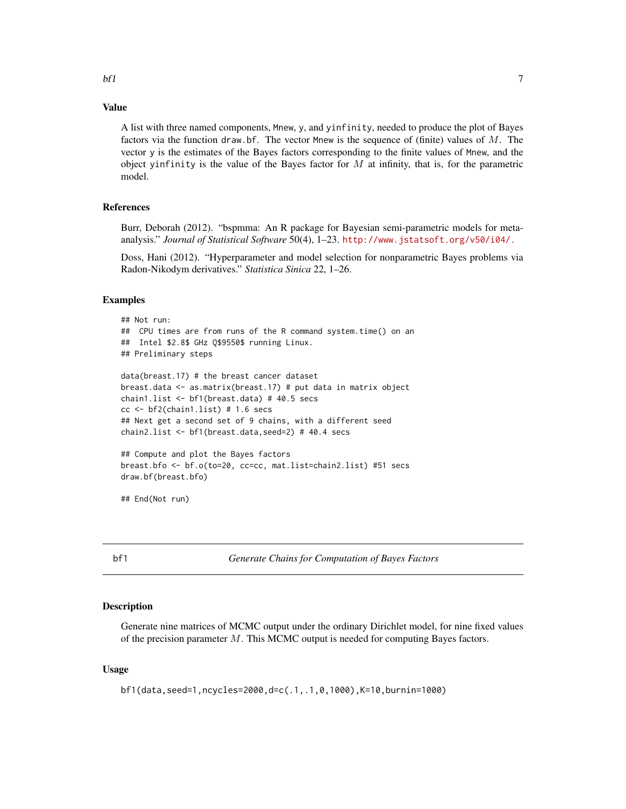#### <span id="page-6-0"></span>Value

A list with three named components, Mnew, y, and yinfinity, needed to produce the plot of Bayes factors via the function draw.bf. The vector Mnew is the sequence of (finite) values of M. The vector y is the estimates of the Bayes factors corresponding to the finite values of Mnew, and the object yinfinity is the value of the Bayes factor for  $M$  at infinity, that is, for the parametric model.

#### References

Burr, Deborah (2012). "bspmma: An R package for Bayesian semi-parametric models for metaanalysis." *Journal of Statistical Software* 50(4), 1–23. <http://www.jstatsoft.org/v50/i04/.>

Doss, Hani (2012). "Hyperparameter and model selection for nonparametric Bayes problems via Radon-Nikodym derivatives." *Statistica Sinica* 22, 1–26.

#### Examples

```
## Not run:
## CPU times are from runs of the R command system.time() on an
## Intel $2.8$ GHz Q$9550$ running Linux.
## Preliminary steps
data(breast.17) # the breast cancer dataset
breast.data <- as.matrix(breast.17) # put data in matrix object
chain1.list <- bf1(breast.data) # 40.5 secs
cc < - b f2(chain1.list) # 1.6 secs
## Next get a second set of 9 chains, with a different seed
chain2.list <- bf1(breast.data,seed=2) # 40.4 secs
## Compute and plot the Bayes factors
breast.bfo <- bf.o(to=20, cc=cc, mat.list=chain2.list) #51 secs
draw.bf(breast.bfo)
```
## End(Not run)

bf1 *Generate Chains for Computation of Bayes Factors*

#### Description

Generate nine matrices of MCMC output under the ordinary Dirichlet model, for nine fixed values of the precision parameter  $M$ . This MCMC output is needed for computing Bayes factors.

#### Usage

```
bf1(data,seed=1,ncycles=2000,d=c(.1,.1,0,1000),K=10,burnin=1000)
```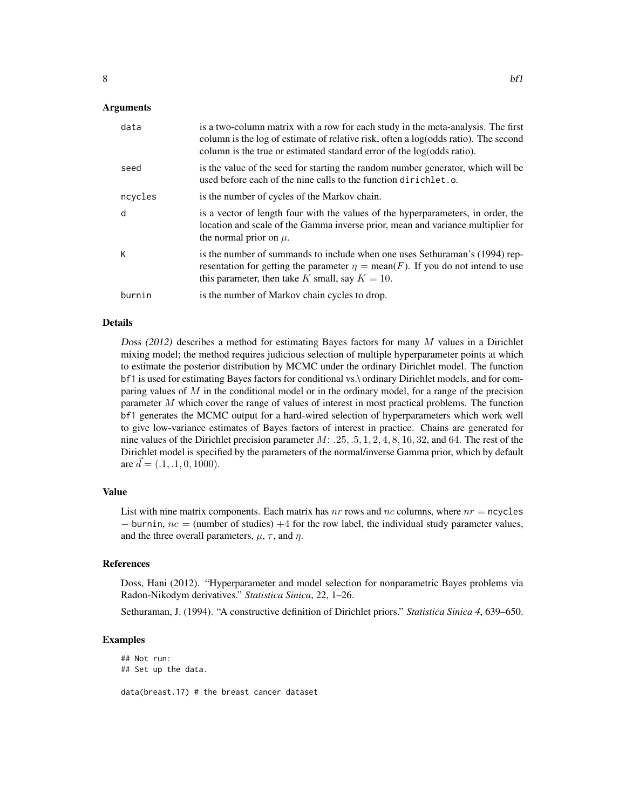| data    | is a two-column matrix with a row for each study in the meta-analysis. The first<br>column is the log of estimate of relative risk, often a log(odds ratio). The second<br>column is the true or estimated standard error of the log(odds ratio). |
|---------|---------------------------------------------------------------------------------------------------------------------------------------------------------------------------------------------------------------------------------------------------|
| seed    | is the value of the seed for starting the random number generator, which will be<br>used before each of the nine calls to the function dirichlet.o.                                                                                               |
| ncycles | is the number of cycles of the Markov chain.                                                                                                                                                                                                      |
| d       | is a vector of length four with the values of the hyperparameters, in order, the<br>location and scale of the Gamma inverse prior, mean and variance multiplier for<br>the normal prior on $\mu$ .                                                |
| К       | is the number of summands to include when one uses Sethuraman's (1994) rep-<br>resentation for getting the parameter $\eta = \text{mean}(F)$ . If you do not intend to use<br>this parameter, then take K small, say $K = 10$ .                   |
| burnin  | is the number of Markov chain cycles to drop.                                                                                                                                                                                                     |

#### Details

Doss (2012) describes a method for estimating Bayes factors for many  $M$  values in a Dirichlet mixing model; the method requires judicious selection of multiple hyperparameter points at which to estimate the posterior distribution by MCMC under the ordinary Dirichlet model. The function bf1 is used for estimating Bayes factors for conditional vs.\ ordinary Dirichlet models, and for comparing values of  $M$  in the conditional model or in the ordinary model, for a range of the precision parameter M which cover the range of values of interest in most practical problems. The function bf1 generates the MCMC output for a hard-wired selection of hyperparameters which work well to give low-variance estimates of Bayes factors of interest in practice. Chains are generated for nine values of the Dirichlet precision parameter  $M: .25, .5, 1, 2, 4, 8, 16, 32,$  and 64. The rest of the Dirichlet model is specified by the parameters of the normal/inverse Gamma prior, which by default are  $\bar{d} = (.1, .1, 0, 1000)$ .

#### Value

List with nine matrix components. Each matrix has  $nr$  rows and  $nc$  columns, where  $nr$  = ncycles  $-$  burnin,  $nc =$  (number of studies)  $+4$  for the row label, the individual study parameter values, and the three overall parameters,  $\mu$ ,  $\tau$ , and  $\eta$ .

#### References

Doss, Hani (2012). "Hyperparameter and model selection for nonparametric Bayes problems via Radon-Nikodym derivatives." *Statistica Sinica*, 22, 1–26.

Sethuraman, J. (1994). "A constructive definition of Dirichlet priors." *Statistica Sinica 4*, 639–650.

#### Examples

## Not run: ## Set up the data. data(breast.17) # the breast cancer dataset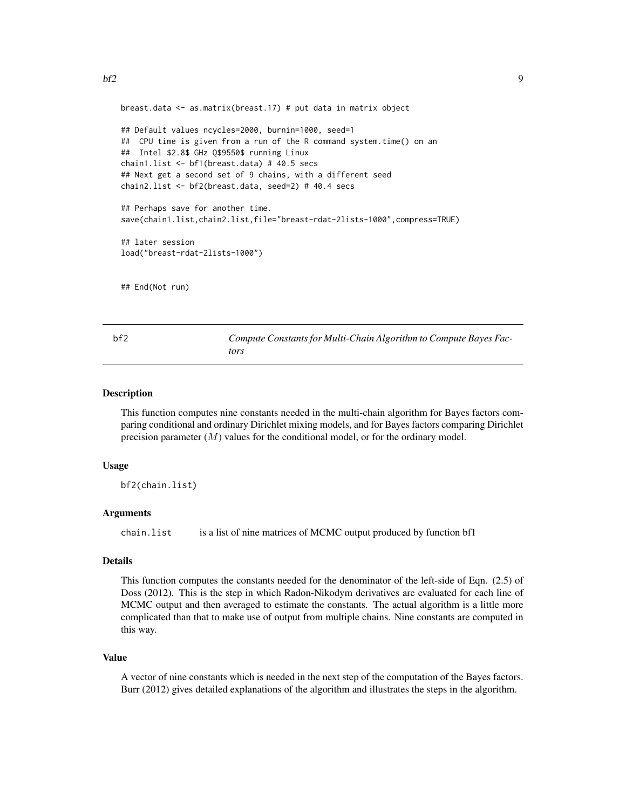<span id="page-8-0"></span>breast.data <- as.matrix(breast.17) # put data in matrix object

```
## Default values ncycles=2000, burnin=1000, seed=1
## CPU time is given from a run of the R command system.time() on an
## Intel $2.8$ GHz Q$9550$ running Linux
chain1.list <- bf1(breast.data) # 40.5 secs
## Next get a second set of 9 chains, with a different seed
chain2.list <- bf2(breast.data, seed=2) # 40.4 secs
## Perhaps save for another time.
save(chain1.list,chain2.list,file="breast-rdat-2lists-1000",compress=TRUE)
```
## later session load("breast-rdat-2lists-1000")

## End(Not run)

bf2 *Compute Constants for Multi-Chain Algorithm to Compute Bayes Factors*

#### Description

This function computes nine constants needed in the multi-chain algorithm for Bayes factors comparing conditional and ordinary Dirichlet mixing models, and for Bayes factors comparing Dirichlet precision parameter  $(M)$  values for the conditional model, or for the ordinary model.

#### Usage

bf2(chain.list)

#### Arguments

chain.list is a list of nine matrices of MCMC output produced by function bf1

#### Details

This function computes the constants needed for the denominator of the left-side of Eqn. (2.5) of Doss (2012). This is the step in which Radon-Nikodym derivatives are evaluated for each line of MCMC output and then averaged to estimate the constants. The actual algorithm is a little more complicated than that to make use of output from multiple chains. Nine constants are computed in this way.

#### Value

A vector of nine constants which is needed in the next step of the computation of the Bayes factors. Burr (2012) gives detailed explanations of the algorithm and illustrates the steps in the algorithm.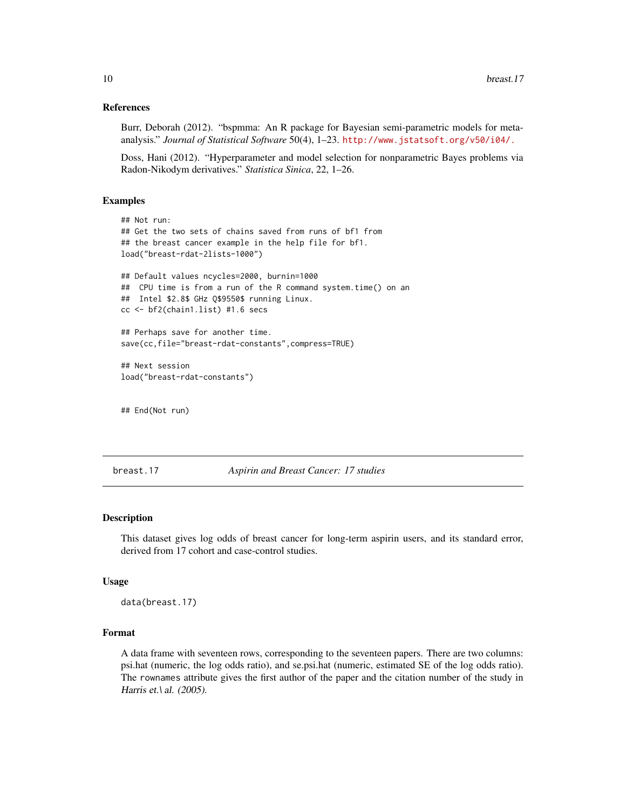#### References

Burr, Deborah (2012). "bspmma: An R package for Bayesian semi-parametric models for metaanalysis." *Journal of Statistical Software* 50(4), 1–23. <http://www.jstatsoft.org/v50/i04/.>

Doss, Hani (2012). "Hyperparameter and model selection for nonparametric Bayes problems via Radon-Nikodym derivatives." *Statistica Sinica*, 22, 1–26.

#### Examples

```
## Not run:
## Get the two sets of chains saved from runs of bf1 from
## the breast cancer example in the help file for bf1.
load("breast-rdat-2lists-1000")
## Default values ncycles=2000, burnin=1000
## CPU time is from a run of the R command system.time() on an
## Intel $2.8$ GHz Q$9550$ running Linux.
cc <- bf2(chain1.list) #1.6 secs
## Perhaps save for another time.
save(cc,file="breast-rdat-constants",compress=TRUE)
## Next session
load("breast-rdat-constants")
```
## End(Not run)

breast.17 *Aspirin and Breast Cancer: 17 studies*

#### Description

This dataset gives log odds of breast cancer for long-term aspirin users, and its standard error, derived from 17 cohort and case-control studies.

#### Usage

data(breast.17)

#### Format

A data frame with seventeen rows, corresponding to the seventeen papers. There are two columns: psi.hat (numeric, the log odds ratio), and se.psi.hat (numeric, estimated SE of the log odds ratio). The rownames attribute gives the first author of the paper and the citation number of the study in Harris et.\ al. (2005).

<span id="page-9-0"></span>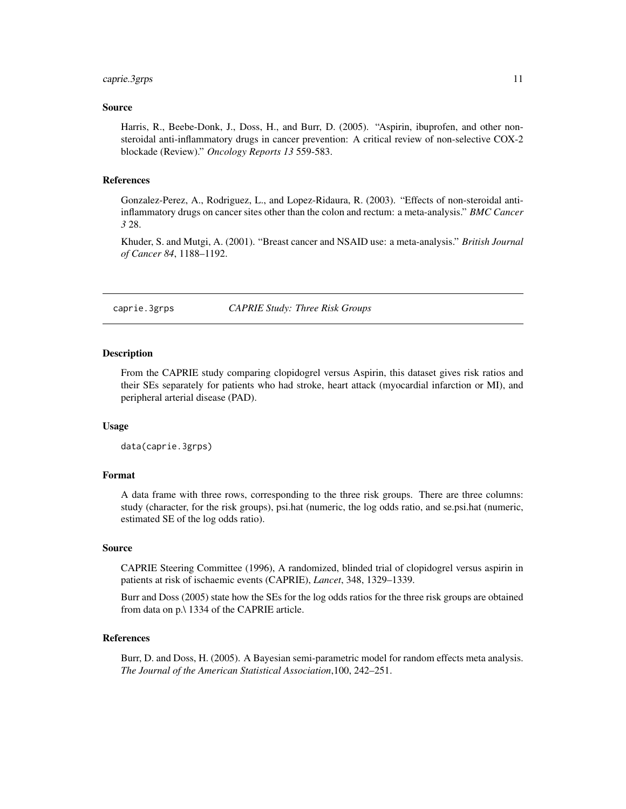#### <span id="page-10-0"></span>caprie.3grps 11

#### Source

Harris, R., Beebe-Donk, J., Doss, H., and Burr, D. (2005). "Aspirin, ibuprofen, and other nonsteroidal anti-inflammatory drugs in cancer prevention: A critical review of non-selective COX-2 blockade (Review)." *Oncology Reports 13* 559-583.

#### References

Gonzalez-Perez, A., Rodriguez, L., and Lopez-Ridaura, R. (2003). "Effects of non-steroidal antiinflammatory drugs on cancer sites other than the colon and rectum: a meta-analysis." *BMC Cancer 3* 28.

Khuder, S. and Mutgi, A. (2001). "Breast cancer and NSAID use: a meta-analysis." *British Journal of Cancer 84*, 1188–1192.

caprie.3grps *CAPRIE Study: Three Risk Groups*

#### Description

From the CAPRIE study comparing clopidogrel versus Aspirin, this dataset gives risk ratios and their SEs separately for patients who had stroke, heart attack (myocardial infarction or MI), and peripheral arterial disease (PAD).

#### Usage

data(caprie.3grps)

#### Format

A data frame with three rows, corresponding to the three risk groups. There are three columns: study (character, for the risk groups), psi.hat (numeric, the log odds ratio, and se.psi.hat (numeric, estimated SE of the log odds ratio).

#### Source

CAPRIE Steering Committee (1996), A randomized, blinded trial of clopidogrel versus aspirin in patients at risk of ischaemic events (CAPRIE), *Lancet*, 348, 1329–1339.

Burr and Doss (2005) state how the SEs for the log odds ratios for the three risk groups are obtained from data on p.\ 1334 of the CAPRIE article.

#### References

Burr, D. and Doss, H. (2005). A Bayesian semi-parametric model for random effects meta analysis. *The Journal of the American Statistical Association*,100, 242–251.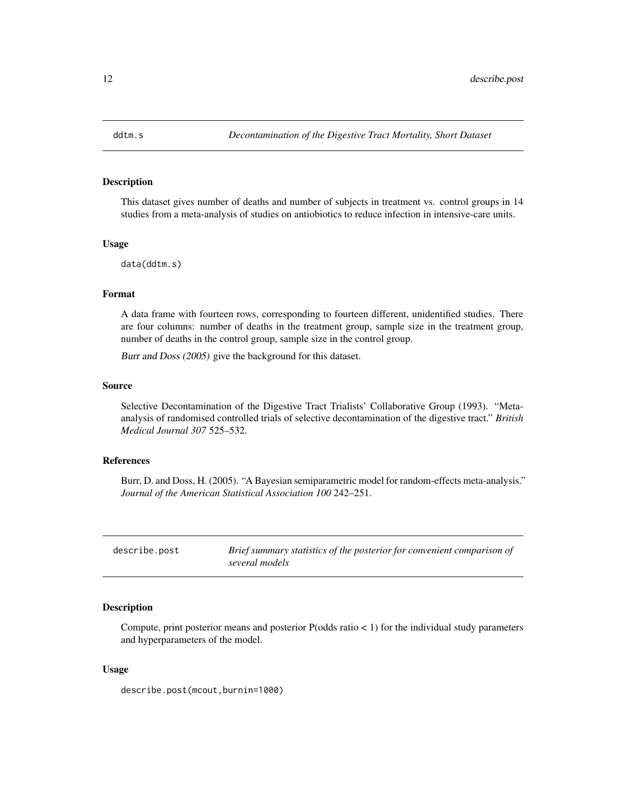<span id="page-11-0"></span>

#### Description

This dataset gives number of deaths and number of subjects in treatment vs. control groups in 14 studies from a meta-analysis of studies on antiobiotics to reduce infection in intensive-care units.

#### Usage

data(ddtm.s)

#### Format

A data frame with fourteen rows, corresponding to fourteen different, unidentified studies. There are four columns: number of deaths in the treatment group, sample size in the treatment group, number of deaths in the control group, sample size in the control group.

Burr and Doss (2005) give the background for this dataset.

#### Source

Selective Decontamination of the Digestive Tract Trialists' Collaborative Group (1993). "Metaanalysis of randomised controlled trials of selective decontamination of the digestive tract." *British Medical Journal 307* 525–532.

#### References

Burr, D. and Doss, H. (2005). "A Bayesian semiparametric model for random-effects meta-analysis." *Journal of the American Statistical Association 100* 242–251.

| describe.post | Brief summary statistics of the posterior for convenient comparison of |
|---------------|------------------------------------------------------------------------|
|               | several models                                                         |

#### Description

Compute, print posterior means and posterior  $P(odds ratio < 1)$  for the individual study parameters and hyperparameters of the model.

#### Usage

describe.post(mcout,burnin=1000)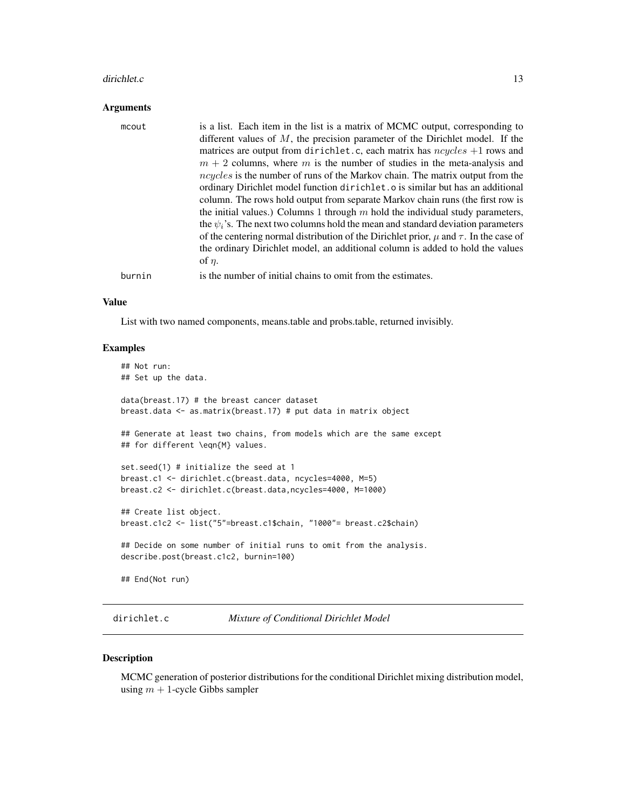#### <span id="page-12-0"></span>dirichlet.c 13

#### Arguments

| mcout  | is a list. Each item in the list is a matrix of MCMC output, corresponding to<br>different values of $M$ , the precision parameter of the Dirichlet model. If the<br>matrices are output from dirichlet.c, each matrix has $ncycles + 1$ rows and<br>$m + 2$ columns, where m is the number of studies in the meta-analysis and<br>ncycles is the number of runs of the Markov chain. The matrix output from the<br>ordinary Dirichlet model function dirichlet to is similar but has an additional<br>column. The rows hold output from separate Markov chain runs (the first row is<br>the initial values.) Columns 1 through $m$ hold the individual study parameters,<br>the $\psi_i$ 's. The next two columns hold the mean and standard deviation parameters<br>of the centering normal distribution of the Dirichlet prior, $\mu$ and $\tau$ . In the case of<br>the ordinary Dirichlet model, an additional column is added to hold the values<br>of $\eta$ . |
|--------|-----------------------------------------------------------------------------------------------------------------------------------------------------------------------------------------------------------------------------------------------------------------------------------------------------------------------------------------------------------------------------------------------------------------------------------------------------------------------------------------------------------------------------------------------------------------------------------------------------------------------------------------------------------------------------------------------------------------------------------------------------------------------------------------------------------------------------------------------------------------------------------------------------------------------------------------------------------------------|
| burnin | is the number of initial chains to omit from the estimates.                                                                                                                                                                                                                                                                                                                                                                                                                                                                                                                                                                                                                                                                                                                                                                                                                                                                                                           |

#### Value

List with two named components, means.table and probs.table, returned invisibly.

#### Examples

```
## Not run:
## Set up the data.
data(breast.17) # the breast cancer dataset
breast.data <- as.matrix(breast.17) # put data in matrix object
## Generate at least two chains, from models which are the same except
## for different \eqn{M} values.
set.seed(1) # initialize the seed at 1
breast.c1 <- dirichlet.c(breast.data, ncycles=4000, M=5)
breast.c2 <- dirichlet.c(breast.data,ncycles=4000, M=1000)
## Create list object.
breast.c1c2 <- list("5"=breast.c1$chain, "1000"= breast.c2$chain)
## Decide on some number of initial runs to omit from the analysis.
describe.post(breast.c1c2, burnin=100)
## End(Not run)
```
dirichlet.c *Mixture of Conditional Dirichlet Model*

#### Description

MCMC generation of posterior distributions for the conditional Dirichlet mixing distribution model, using  $m + 1$ -cycle Gibbs sampler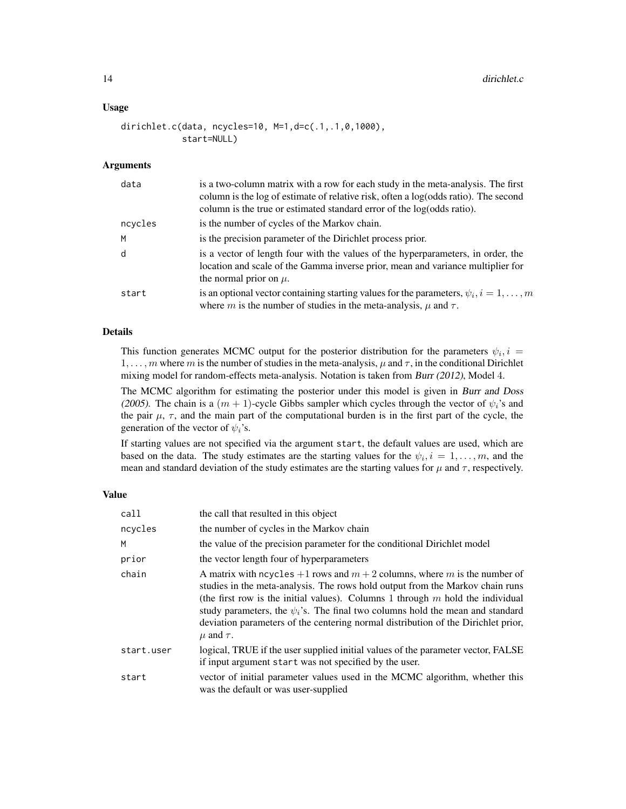#### Usage

```
dirichlet.c(data, ncycles=10, M=1,d=c(.1,.1,0,1000),
            start=NULL)
```
#### Arguments

| data    | is a two-column matrix with a row for each study in the meta-analysis. The first<br>column is the log of estimate of relative risk, often a log(odds ratio). The second<br>column is the true or estimated standard error of the log(odds ratio). |
|---------|---------------------------------------------------------------------------------------------------------------------------------------------------------------------------------------------------------------------------------------------------|
| ncycles | is the number of cycles of the Markov chain.                                                                                                                                                                                                      |
| M       | is the precision parameter of the Dirichlet process prior.                                                                                                                                                                                        |
| d       | is a vector of length four with the values of the hyperparameters, in order, the<br>location and scale of the Gamma inverse prior, mean and variance multiplier for<br>the normal prior on $\mu$ .                                                |
| start   | is an optional vector containing starting values for the parameters, $\psi_i$ , $i = 1, \ldots, m$<br>where m is the number of studies in the meta-analysis, $\mu$ and $\tau$ .                                                                   |

#### Details

This function generates MCMC output for the posterior distribution for the parameters  $\psi_i$ ,  $i =$ 1, ..., m where m is the number of studies in the meta-analysis,  $\mu$  and  $\tau$ , in the conditional Dirichlet mixing model for random-effects meta-analysis. Notation is taken from Burr (2012), Model 4.

The MCMC algorithm for estimating the posterior under this model is given in Burr and Doss (2005). The chain is a  $(m + 1)$ -cycle Gibbs sampler which cycles through the vector of  $\psi_i$ 's and the pair  $\mu$ ,  $\tau$ , and the main part of the computational burden is in the first part of the cycle, the generation of the vector of  $\psi_i$ 's.

If starting values are not specified via the argument start, the default values are used, which are based on the data. The study estimates are the starting values for the  $\psi_i$ ,  $i = 1, \dots, m$ , and the mean and standard deviation of the study estimates are the starting values for  $\mu$  and  $\tau$ , respectively.

#### Value

| call       | the call that resulted in this object                                                                                                                                                                                                                                                                                                                                                                                                                |
|------------|------------------------------------------------------------------------------------------------------------------------------------------------------------------------------------------------------------------------------------------------------------------------------------------------------------------------------------------------------------------------------------------------------------------------------------------------------|
| ncycles    | the number of cycles in the Markov chain                                                                                                                                                                                                                                                                                                                                                                                                             |
| M          | the value of the precision parameter for the conditional Dirichlet model                                                                                                                                                                                                                                                                                                                                                                             |
| prior      | the vector length four of hyperparameters                                                                                                                                                                                                                                                                                                                                                                                                            |
| chain      | A matrix with neyeles $+1$ rows and $m + 2$ columns, where m is the number of<br>studies in the meta-analysis. The rows hold output from the Markov chain runs<br>(the first row is the initial values). Columns 1 through $m$ hold the individual<br>study parameters, the $\psi_i$ 's. The final two columns hold the mean and standard<br>deviation parameters of the centering normal distribution of the Dirichlet prior,<br>$\mu$ and $\tau$ . |
| start.user | logical, TRUE if the user supplied initial values of the parameter vector, FALSE<br>if input argument start was not specified by the user.                                                                                                                                                                                                                                                                                                           |
| start      | vector of initial parameter values used in the MCMC algorithm, whether this<br>was the default or was user-supplied                                                                                                                                                                                                                                                                                                                                  |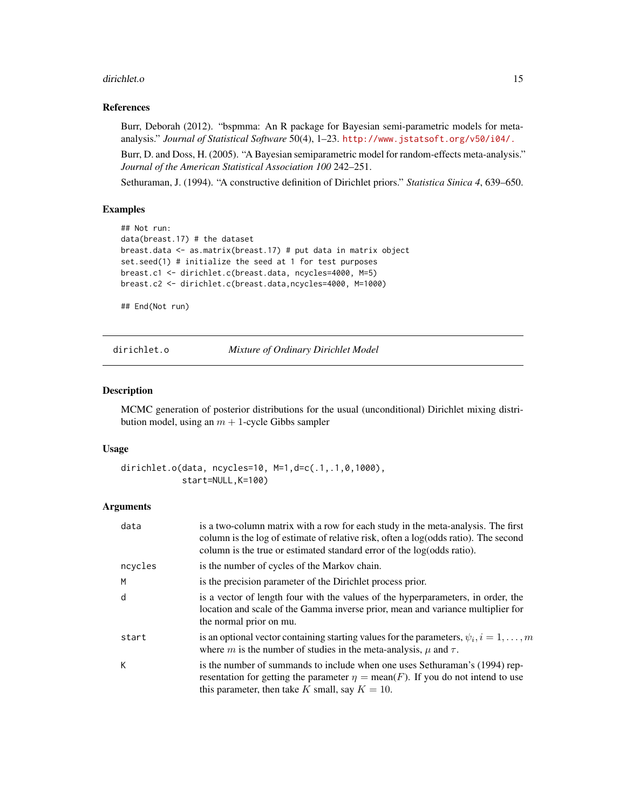#### <span id="page-14-0"></span>dirichlet.o 15

#### References

Burr, Deborah (2012). "bspmma: An R package for Bayesian semi-parametric models for metaanalysis." *Journal of Statistical Software* 50(4), 1–23. <http://www.jstatsoft.org/v50/i04/.>

Burr, D. and Doss, H. (2005). "A Bayesian semiparametric model for random-effects meta-analysis." *Journal of the American Statistical Association 100* 242–251.

Sethuraman, J. (1994). "A constructive definition of Dirichlet priors." *Statistica Sinica 4*, 639–650.

#### Examples

```
## Not run:
data(breast.17) # the dataset
breast.data <- as.matrix(breast.17) # put data in matrix object
set.seed(1) # initialize the seed at 1 for test purposes
breast.c1 <- dirichlet.c(breast.data, ncycles=4000, M=5)
breast.c2 <- dirichlet.c(breast.data,ncycles=4000, M=1000)
```
## End(Not run)

dirichlet.o *Mixture of Ordinary Dirichlet Model*

#### Description

MCMC generation of posterior distributions for the usual (unconditional) Dirichlet mixing distribution model, using an  $m + 1$ -cycle Gibbs sampler

#### Usage

```
dirichlet.o(data, ncycles=10, M=1,d=c(.1,.1,0,1000),
            start=NULL,K=100)
```
#### Arguments

| data    | is a two-column matrix with a row for each study in the meta-analysis. The first<br>column is the log of estimate of relative risk, often a log(odds ratio). The second<br>column is the true or estimated standard error of the log(odds ratio). |  |
|---------|---------------------------------------------------------------------------------------------------------------------------------------------------------------------------------------------------------------------------------------------------|--|
| ncycles | is the number of cycles of the Markov chain.                                                                                                                                                                                                      |  |
| М       | is the precision parameter of the Dirichlet process prior.                                                                                                                                                                                        |  |
| d       | is a vector of length four with the values of the hyperparameters, in order, the<br>location and scale of the Gamma inverse prior, mean and variance multiplier for<br>the normal prior on mu.                                                    |  |
| start   | is an optional vector containing starting values for the parameters, $\psi_i$ , $i = 1, \ldots, m$<br>where m is the number of studies in the meta-analysis, $\mu$ and $\tau$ .                                                                   |  |
| K       | is the number of summands to include when one uses Sethuraman's (1994) rep-<br>resentation for getting the parameter $\eta = \text{mean}(F)$ . If you do not intend to use<br>this parameter, then take K small, say $K = 10$ .                   |  |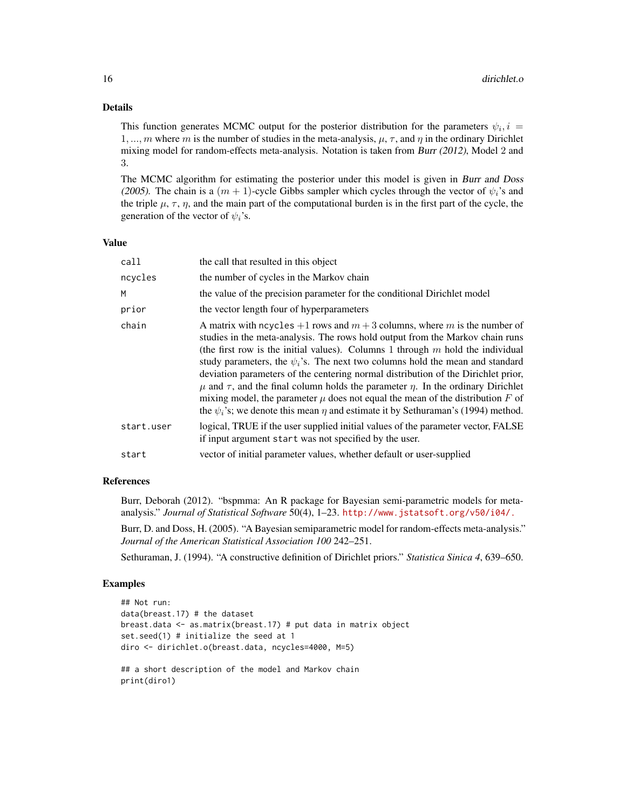#### Details

This function generates MCMC output for the posterior distribution for the parameters  $\psi_i$ ,  $i =$ 1, ..., m where m is the number of studies in the meta-analysis,  $\mu$ ,  $\tau$ , and  $\eta$  in the ordinary Dirichlet mixing model for random-effects meta-analysis. Notation is taken from Burr (2012), Model 2 and 3.

The MCMC algorithm for estimating the posterior under this model is given in Burr and Doss (2005). The chain is a  $(m + 1)$ -cycle Gibbs sampler which cycles through the vector of  $\psi_i$ 's and the triple  $\mu$ ,  $\tau$ ,  $\eta$ , and the main part of the computational burden is in the first part of the cycle, the generation of the vector of  $\psi_i$ 's.

#### Value

| call       | the call that resulted in this object                                                                                                                                                                                                                                                                                                                                                                                                                                                                                                                                                                                                                                                                             |
|------------|-------------------------------------------------------------------------------------------------------------------------------------------------------------------------------------------------------------------------------------------------------------------------------------------------------------------------------------------------------------------------------------------------------------------------------------------------------------------------------------------------------------------------------------------------------------------------------------------------------------------------------------------------------------------------------------------------------------------|
| ncycles    | the number of cycles in the Markov chain                                                                                                                                                                                                                                                                                                                                                                                                                                                                                                                                                                                                                                                                          |
| M          | the value of the precision parameter for the conditional Dirichlet model                                                                                                                                                                                                                                                                                                                                                                                                                                                                                                                                                                                                                                          |
| prior      | the vector length four of hyperparameters                                                                                                                                                                                                                                                                                                                                                                                                                                                                                                                                                                                                                                                                         |
| chain      | A matrix with ncycles $+1$ rows and $m+3$ columns, where m is the number of<br>studies in the meta-analysis. The rows hold output from the Markov chain runs<br>(the first row is the initial values). Columns 1 through $m$ hold the individual<br>study parameters, the $\psi_i$ 's. The next two columns hold the mean and standard<br>deviation parameters of the centering normal distribution of the Dirichlet prior,<br>$\mu$ and $\tau$ , and the final column holds the parameter $\eta$ . In the ordinary Dirichlet<br>mixing model, the parameter $\mu$ does not equal the mean of the distribution F of<br>the $\psi_i$ 's; we denote this mean $\eta$ and estimate it by Sethuraman's (1994) method. |
| start.user | logical, TRUE if the user supplied initial values of the parameter vector, FALSE<br>if input argument start was not specified by the user.                                                                                                                                                                                                                                                                                                                                                                                                                                                                                                                                                                        |
| start      | vector of initial parameter values, whether default or user-supplied                                                                                                                                                                                                                                                                                                                                                                                                                                                                                                                                                                                                                                              |
|            |                                                                                                                                                                                                                                                                                                                                                                                                                                                                                                                                                                                                                                                                                                                   |

#### References

Burr, Deborah (2012). "bspmma: An R package for Bayesian semi-parametric models for metaanalysis." *Journal of Statistical Software* 50(4), 1–23. <http://www.jstatsoft.org/v50/i04/.>

Burr, D. and Doss, H. (2005). "A Bayesian semiparametric model for random-effects meta-analysis." *Journal of the American Statistical Association 100* 242–251.

Sethuraman, J. (1994). "A constructive definition of Dirichlet priors." *Statistica Sinica 4*, 639–650.

#### Examples

```
## Not run:
data(breast.17) # the dataset
breast.data <- as.matrix(breast.17) # put data in matrix object
set.seed(1) # initialize the seed at 1
diro <- dirichlet.o(breast.data, ncycles=4000, M=5)
## a short description of the model and Markov chain
print(diro1)
```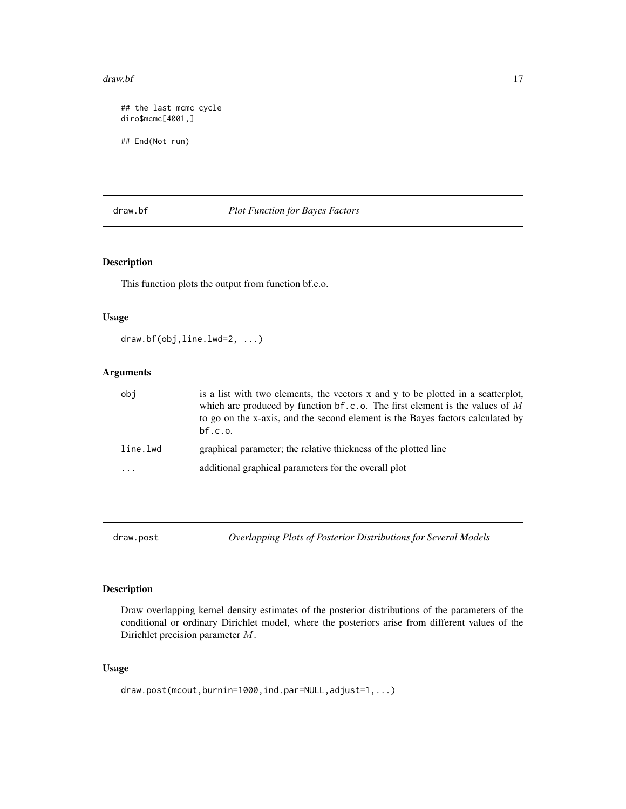#### <span id="page-16-0"></span>draw.bf 17

```
## the last mcmc cycle
diro$mcmc[4001,]
## End(Not run)
```
#### draw.bf *Plot Function for Bayes Factors*

#### Description

This function plots the output from function bf.c.o.

#### Usage

```
draw.bf(obj,line.lwd=2, ...)
```
#### Arguments

| obi      | is a list with two elements, the vectors x and y to be plotted in a scatterplot,<br>which are produced by function bf.c.o. The first element is the values of M<br>to go on the x-axis, and the second element is the Bayes factors calculated by<br>bf.c.o. |
|----------|--------------------------------------------------------------------------------------------------------------------------------------------------------------------------------------------------------------------------------------------------------------|
| line.lwd | graphical parameter; the relative thickness of the plotted line                                                                                                                                                                                              |
| $\cdots$ | additional graphical parameters for the overall plot                                                                                                                                                                                                         |

draw.post *Overlapping Plots of Posterior Distributions for Several Models*

#### Description

Draw overlapping kernel density estimates of the posterior distributions of the parameters of the conditional or ordinary Dirichlet model, where the posteriors arise from different values of the Dirichlet precision parameter M.

#### Usage

```
draw.post(mcout,burnin=1000,ind.par=NULL,adjust=1,...)
```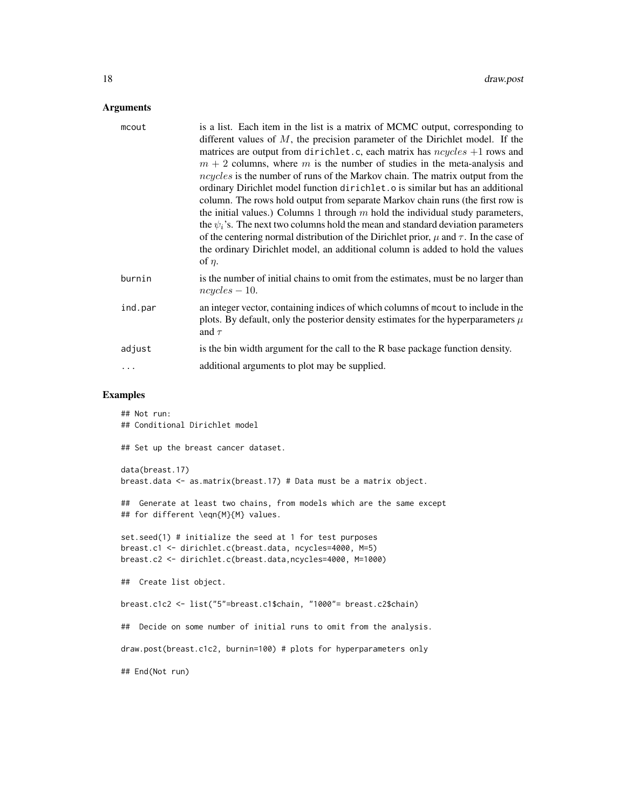#### Arguments

| mcout   | is a list. Each item in the list is a matrix of MCMC output, corresponding to                                                                                                           |
|---------|-----------------------------------------------------------------------------------------------------------------------------------------------------------------------------------------|
|         | different values of $M$ , the precision parameter of the Dirichlet model. If the                                                                                                        |
|         | matrices are output from dirichlet.c, each matrix has $ncycles + 1$ rows and                                                                                                            |
|         | $m + 2$ columns, where m is the number of studies in the meta-analysis and                                                                                                              |
|         | $ncycles$ is the number of runs of the Markov chain. The matrix output from the                                                                                                         |
|         | ordinary Dirichlet model function dirichlet. o is similar but has an additional                                                                                                         |
|         | column. The rows hold output from separate Markov chain runs (the first row is                                                                                                          |
|         | the initial values.) Columns 1 through $m$ hold the individual study parameters,                                                                                                        |
|         | the $\psi_i$ 's. The next two columns hold the mean and standard deviation parameters                                                                                                   |
|         | of the centering normal distribution of the Dirichlet prior, $\mu$ and $\tau$ . In the case of                                                                                          |
|         | the ordinary Dirichlet model, an additional column is added to hold the values                                                                                                          |
|         | of $\eta$ .                                                                                                                                                                             |
| burnin  | is the number of initial chains to omit from the estimates, must be no larger than<br>$ncycles - 10.$                                                                                   |
| ind.par | an integer vector, containing indices of which columns of more to include in the<br>plots. By default, only the posterior density estimates for the hyperparameters $\mu$<br>and $\tau$ |
| adjust  | is the bin width argument for the call to the R base package function density.                                                                                                          |
|         | additional arguments to plot may be supplied.                                                                                                                                           |
|         |                                                                                                                                                                                         |

#### Examples

## Not run: ## Conditional Dirichlet model ## Set up the breast cancer dataset. data(breast.17) breast.data <- as.matrix(breast.17) # Data must be a matrix object. ## Generate at least two chains, from models which are the same except ## for different \eqn{M}{M} values. set.seed(1) # initialize the seed at 1 for test purposes breast.c1 <- dirichlet.c(breast.data, ncycles=4000, M=5) breast.c2 <- dirichlet.c(breast.data,ncycles=4000, M=1000) ## Create list object. breast.c1c2 <- list("5"=breast.c1\$chain, "1000"= breast.c2\$chain) ## Decide on some number of initial runs to omit from the analysis. draw.post(breast.c1c2, burnin=100) # plots for hyperparameters only

## End(Not run)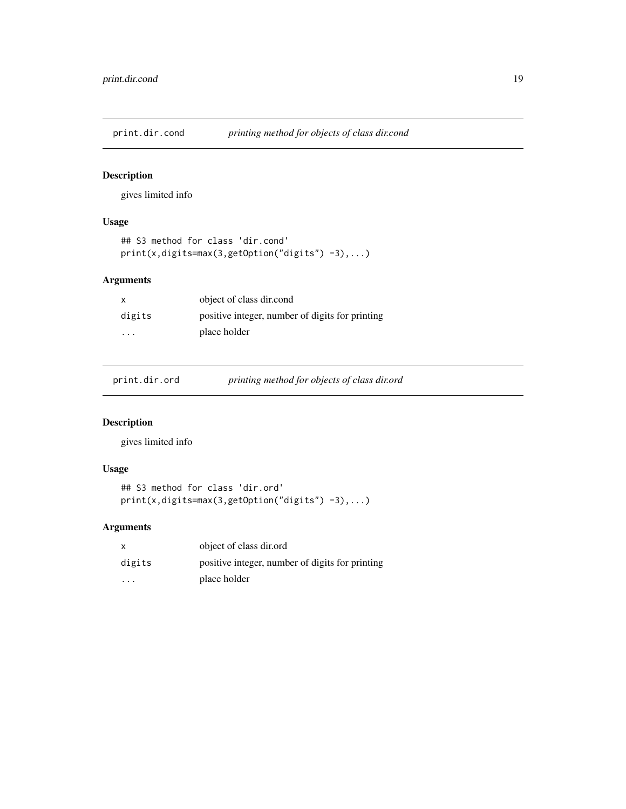<span id="page-18-0"></span>

#### Description

gives limited info

#### Usage

```
## S3 method for class 'dir.cond'
print(x,digits=max(3,getOption("digits") -3),...)
```
#### Arguments

| х                       | object of class dir.cond                        |
|-------------------------|-------------------------------------------------|
| digits                  | positive integer, number of digits for printing |
| $\cdot$ $\cdot$ $\cdot$ | place holder                                    |

print.dir.ord *printing method for objects of class dir.ord*

#### Description

gives limited info

#### Usage

```
## S3 method for class 'dir.ord'
print(x,digits=max(3,getOption("digits") -3),...)
```
#### Arguments

| $\mathsf{x}$         | object of class dir.ord                         |
|----------------------|-------------------------------------------------|
| digits               | positive integer, number of digits for printing |
| $\ddot{\phantom{0}}$ | place holder                                    |